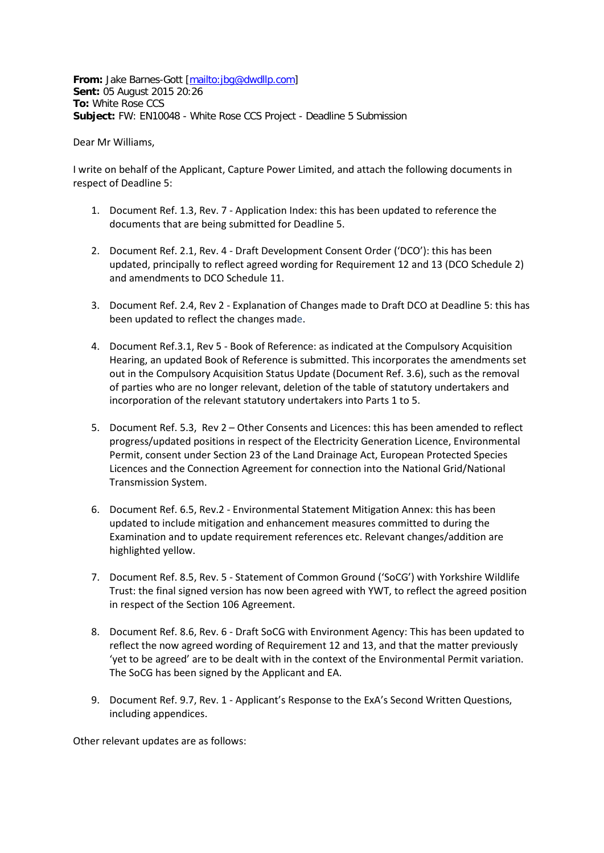**From:** Jake Barnes-Gott [\[mailto:jbg@dwdllp.com\]](mailto:jbg@dwdllp.com) **Sent:** 05 August 2015 20:26 **To:** White Rose CCS **Subject:** FW: EN10048 - White Rose CCS Project - Deadline 5 Submission

Dear Mr Williams,

I write on behalf of the Applicant, Capture Power Limited, and attach the following documents in respect of Deadline 5:

- 1. Document Ref. 1.3, Rev. 7 Application Index: this has been updated to reference the documents that are being submitted for Deadline 5.
- 2. Document Ref. 2.1, Rev. 4 Draft Development Consent Order ('DCO'): this has been updated, principally to reflect agreed wording for Requirement 12 and 13 (DCO Schedule 2) and amendments to DCO Schedule 11.
- 3. Document Ref. 2.4, Rev 2 Explanation of Changes made to Draft DCO at Deadline 5: this has been updated to reflect the changes made.
- 4. Document Ref.3.1, Rev 5 Book of Reference: as indicated at the Compulsory Acquisition Hearing, an updated Book of Reference is submitted. This incorporates the amendments set out in the Compulsory Acquisition Status Update (Document Ref. 3.6), such as the removal of parties who are no longer relevant, deletion of the table of statutory undertakers and incorporation of the relevant statutory undertakers into Parts 1 to 5.
- 5. Document Ref. 5.3, Rev 2 Other Consents and Licences: this has been amended to reflect progress/updated positions in respect of the Electricity Generation Licence, Environmental Permit, consent under Section 23 of the Land Drainage Act, European Protected Species Licences and the Connection Agreement for connection into the National Grid/National Transmission System.
- 6. Document Ref. 6.5, Rev.2 Environmental Statement Mitigation Annex: this has been updated to include mitigation and enhancement measures committed to during the Examination and to update requirement references etc. Relevant changes/addition are highlighted yellow.
- 7. Document Ref. 8.5, Rev. 5 Statement of Common Ground ('SoCG') with Yorkshire Wildlife Trust: the final signed version has now been agreed with YWT, to reflect the agreed position in respect of the Section 106 Agreement.
- 8. Document Ref. 8.6, Rev. 6 Draft SoCG with Environment Agency: This has been updated to reflect the now agreed wording of Requirement 12 and 13, and that the matter previously 'yet to be agreed' are to be dealt with in the context of the Environmental Permit variation. The SoCG has been signed by the Applicant and EA.
- 9. Document Ref. 9.7, Rev. 1 Applicant's Response to the ExA's Second Written Questions, including appendices.

Other relevant updates are as follows: